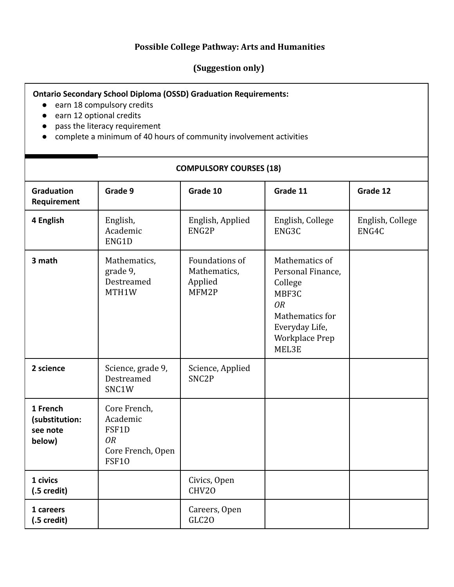## **Possible College Pathway: Arts and Humanities**

## **(Suggestion only)**

## **Ontario Secondary School Diploma (OSSD) Graduation Requirements:**

- earn 18 compulsory credits
- earn 12 optional credits
- pass the literacy requirement
- complete a minimum of 40 hours of community involvement activities

## **COMPULSORY COURSES (18)**

| <b>Graduation</b><br>Requirement                 | Grade 9                                                                             | Grade 10                                           | Grade 11                                                                                                                             | Grade 12                  |
|--------------------------------------------------|-------------------------------------------------------------------------------------|----------------------------------------------------|--------------------------------------------------------------------------------------------------------------------------------------|---------------------------|
| 4 English                                        | English,<br>Academic<br>ENG1D                                                       | English, Applied<br>ENG2P                          | English, College<br>ENG3C                                                                                                            | English, College<br>ENG4C |
| 3 math                                           | Mathematics,<br>grade 9,<br>Destreamed<br>MTH1W                                     | Foundations of<br>Mathematics,<br>Applied<br>MFM2P | Mathematics of<br>Personal Finance,<br>College<br>MBF3C<br><b>OR</b><br>Mathematics for<br>Everyday Life,<br>Workplace Prep<br>MEL3E |                           |
| 2 science                                        | Science, grade 9,<br>Destreamed<br>SNC1W                                            | Science, Applied<br>SNC <sub>2P</sub>              |                                                                                                                                      |                           |
| 1 French<br>(substitution:<br>see note<br>below) | Core French,<br>Academic<br>FSF1D<br><b>OR</b><br>Core French, Open<br><b>FSF10</b> |                                                    |                                                                                                                                      |                           |
| 1 civics<br>$(.5 \,\text{credit})$               |                                                                                     | Civics, Open<br>CHV20                              |                                                                                                                                      |                           |
| 1 careers<br>$(.5 \,\text{credit})$              |                                                                                     | Careers, Open<br>GLC <sub>20</sub>                 |                                                                                                                                      |                           |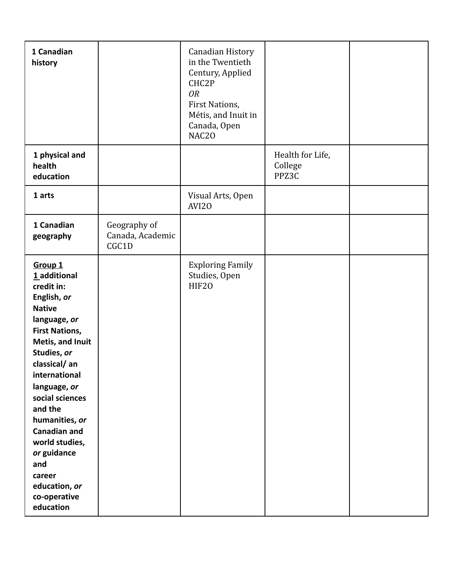| 1 Canadian<br>history                                                                                                                                                                                                                                                                                                                                                                |                                           | Canadian History<br>in the Twentieth<br>Century, Applied<br>CHC2P<br><b>OR</b><br>First Nations,<br>Métis, and Inuit in<br>Canada, Open<br>NAC20 |                                      |  |
|--------------------------------------------------------------------------------------------------------------------------------------------------------------------------------------------------------------------------------------------------------------------------------------------------------------------------------------------------------------------------------------|-------------------------------------------|--------------------------------------------------------------------------------------------------------------------------------------------------|--------------------------------------|--|
| 1 physical and<br>health<br>education                                                                                                                                                                                                                                                                                                                                                |                                           |                                                                                                                                                  | Health for Life,<br>College<br>PPZ3C |  |
| 1 arts                                                                                                                                                                                                                                                                                                                                                                               |                                           | Visual Arts, Open<br>AVI20                                                                                                                       |                                      |  |
| 1 Canadian<br>geography                                                                                                                                                                                                                                                                                                                                                              | Geography of<br>Canada, Academic<br>CGC1D |                                                                                                                                                  |                                      |  |
| Group <sub>1</sub><br>1 additional<br>credit in:<br>English, or<br><b>Native</b><br>language, or<br><b>First Nations,</b><br>Metis, and Inuit<br>Studies, or<br>classical/an<br>international<br>language, or<br>social sciences<br>and the<br>humanities, or<br><b>Canadian and</b><br>world studies,<br>or guidance<br>and<br>career<br>education, or<br>co-operative<br>education |                                           | <b>Exploring Family</b><br>Studies, Open<br>HIF20                                                                                                |                                      |  |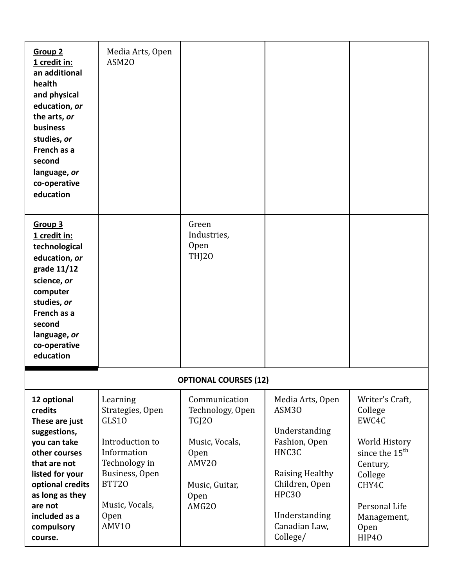| <b>Group 2</b><br>1 credit in:<br>an additional<br>health<br>and physical<br>education, or<br>the arts, or<br>business<br>studies, or<br>French as a<br>second<br>language, or<br>co-operative<br>education              | Media Arts, Open<br>ASM <sub>20</sub>                                                                                                                         |                                                                                                                                |                                                                                                                                                                         |                                                                                                                                                                     |
|--------------------------------------------------------------------------------------------------------------------------------------------------------------------------------------------------------------------------|---------------------------------------------------------------------------------------------------------------------------------------------------------------|--------------------------------------------------------------------------------------------------------------------------------|-------------------------------------------------------------------------------------------------------------------------------------------------------------------------|---------------------------------------------------------------------------------------------------------------------------------------------------------------------|
| Group <sub>3</sub><br>1 credit in:<br>technological<br>education, or<br>grade 11/12<br>science, or<br>computer<br>studies, or<br>French as a<br>second<br>language, or<br>co-operative<br>education                      |                                                                                                                                                               | Green<br>Industries,<br><b>Open</b><br>THJ20                                                                                   |                                                                                                                                                                         |                                                                                                                                                                     |
| <b>OPTIONAL COURSES (12)</b>                                                                                                                                                                                             |                                                                                                                                                               |                                                                                                                                |                                                                                                                                                                         |                                                                                                                                                                     |
| 12 optional<br>credits<br>These are just<br>suggestions,<br>you can take<br>other courses<br>that are not<br>listed for your<br>optional credits<br>as long as they<br>are not<br>included as a<br>compulsory<br>course. | Learning<br>Strategies, Open<br>GLS10<br>Introduction to<br>Information<br>Technology in<br>Business, Open<br><b>BTT20</b><br>Music, Vocals,<br>Open<br>AMV10 | Communication<br>Technology, Open<br><b>TGJ20</b><br>Music, Vocals,<br><b>Open</b><br>AMV20<br>Music, Guitar,<br>Open<br>AMG20 | Media Arts, Open<br>ASM30<br>Understanding<br>Fashion, Open<br>HNC3C<br>Raising Healthy<br>Children, Open<br><b>HPC30</b><br>Understanding<br>Canadian Law,<br>College/ | Writer's Craft,<br>College<br>EWC4C<br>World History<br>since the 15 <sup>th</sup><br>Century,<br>College<br>CHY4C<br>Personal Life<br>Management,<br>Open<br>HIP40 |